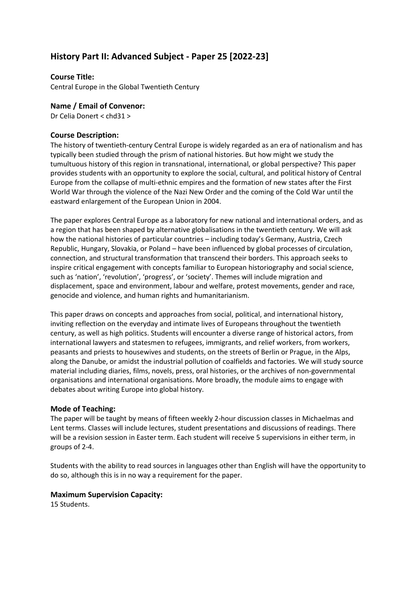# **History Part II: Advanced Subject - Paper 25 [2022-23]**

### **Course Title:**

Central Europe in the Global Twentieth Century

#### **Name / Email of Convenor:**

Dr Celia Donert < chd31 >

#### **Course Description:**

The history of twentieth-century Central Europe is widely regarded as an era of nationalism and has typically been studied through the prism of national histories. But how might we study the tumultuous history of this region in transnational, international, or global perspective? This paper provides students with an opportunity to explore the social, cultural, and political history of Central Europe from the collapse of multi-ethnic empires and the formation of new states after the First World War through the violence of the Nazi New Order and the coming of the Cold War until the eastward enlargement of the European Union in 2004.

The paper explores Central Europe as a laboratory for new national and international orders, and as a region that has been shaped by alternative globalisations in the twentieth century. We will ask how the national histories of particular countries – including today's Germany, Austria, Czech Republic, Hungary, Slovakia, or Poland – have been influenced by global processes of circulation, connection, and structural transformation that transcend their borders. This approach seeks to inspire critical engagement with concepts familiar to European historiography and social science, such as 'nation', 'revolution', 'progress', or 'society'. Themes will include migration and displacement, space and environment, labour and welfare, protest movements, gender and race, genocide and violence, and human rights and humanitarianism.

This paper draws on concepts and approaches from social, political, and international history, inviting reflection on the everyday and intimate lives of Europeans throughout the twentieth century, as well as high politics. Students will encounter a diverse range of historical actors, from international lawyers and statesmen to refugees, immigrants, and relief workers, from workers, peasants and priests to housewives and students, on the streets of Berlin or Prague, in the Alps, along the Danube, or amidst the industrial pollution of coalfields and factories. We will study source material including diaries, films, novels, press, oral histories, or the archives of non-governmental organisations and international organisations. More broadly, the module aims to engage with debates about writing Europe into global history.

#### **Mode of Teaching:**

The paper will be taught by means of fifteen weekly 2-hour discussion classes in Michaelmas and Lent terms. Classes will include lectures, student presentations and discussions of readings. There will be a revision session in Easter term. Each student will receive 5 supervisions in either term, in groups of 2-4.

Students with the ability to read sources in languages other than English will have the opportunity to do so, although this is in no way a requirement for the paper.

#### **Maximum Supervision Capacity:**

15 Students.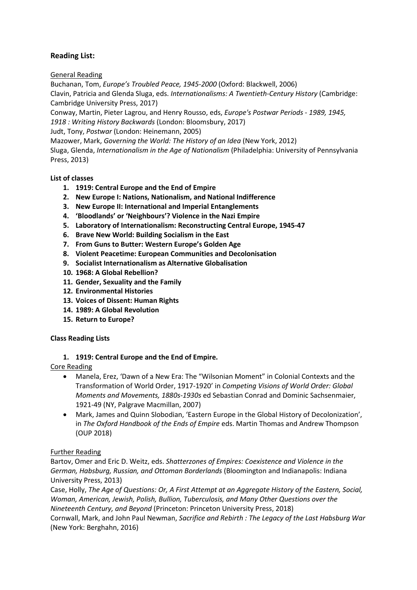## **Reading List:**

General Reading

Buchanan, Tom, *Europe's Troubled Peace, 1945-2000* (Oxford: Blackwell, 2006) Clavin, Patricia and Glenda Sluga, eds. *Internationalisms: A Twentieth-Century History* (Cambridge: Cambridge University Press, 2017)

Conway, Martin, Pieter Lagrou, and Henry Rousso, eds, *Europe's Postwar Periods - 1989, 1945,* 

*1918 : Writing History Backwards* (London: Bloomsbury, 2017)

Judt, Tony, *Postwar* (London: Heinemann, 2005)

Mazower, Mark, *Governing the World: The History of an Idea* (New York, 2012)

Sluga, Glenda, *Internationalism in the Age of Nationalism* (Philadelphia: University of Pennsylvania Press, 2013)

### **List of classes**

- **1. 1919: Central Europe and the End of Empire**
- **2. New Europe I: Nations, Nationalism, and National Indifference**
- **3. New Europe II: International and Imperial Entanglements**
- **4. 'Bloodlands' or 'Neighbours'? Violence in the Nazi Empire**
- **5. Laboratory of Internationalism: Reconstructing Central Europe, 1945-47**
- **6. Brave New World: Building Socialism in the East**
- **7. From Guns to Butter: Western Europe's Golden Age**
- **8. Violent Peacetime: European Communities and Decolonisation**
- **9. Socialist Internationalism as Alternative Globalisation**
- **10. 1968: A Global Rebellion?**
- **11. Gender, Sexuality and the Family**
- **12. Environmental Histories**
- **13. Voices of Dissent: Human Rights**
- **14. 1989: A Global Revolution**
- **15. Return to Europe?**

### **Class Reading Lists**

### **1. 1919: Central Europe and the End of Empire.**

Core Reading

- Manela, Erez, 'Dawn of a New Era: The "Wilsonian Moment" in Colonial Contexts and the Transformation of World Order, 1917-1920' in *Competing Visions of World Order: Global Moments and Movements, 1880s-1930s* ed Sebastian Conrad and Dominic Sachsenmaier, 1921-49 (NY, Palgrave Macmillan, 2007)
- Mark, James and Quinn Slobodian, 'Eastern Europe in the Global History of Decolonization', in *The Oxford Handbook of the Ends of Empire* eds. Martin Thomas and Andrew Thompson (OUP 2018)

### Further Reading

Bartov, Omer and Eric D. Weitz, eds. *Shatterzones of Empires: Coexistence and Violence in the German, Habsburg, Russian, and Ottoman Borderlands* (Bloomington and Indianapolis: Indiana University Press, 2013)

Case, Holly, *The Age of Questions: Or, A First Attempt at an Aggregate History of the Eastern, Social, Woman, American, Jewish, Polish, Bullion, Tuberculosis, and Many Other Questions over the Nineteenth Century, and Beyond* (Princeton: Princeton University Press, 2018)

Cornwall, Mark, and John Paul Newman, *Sacrifice and Rebirth : The Legacy of the Last Habsburg War* (New York: Berghahn, 2016)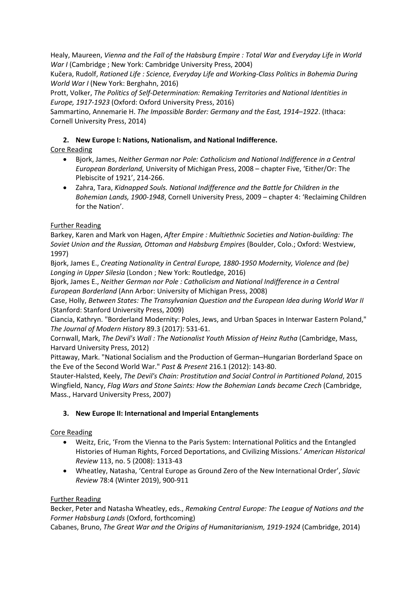Healy, Maureen, *Vienna and the Fall of the Habsburg Empire : Total War and Everyday Life in World War I* (Cambridge ; New York: Cambridge University Press, 2004)

Kučera, Rudolf, *Rationed Life : Science, Everyday Life and Working-Class Politics in Bohemia During World War I* (New York: Berghahn, 2016)

Prott, Volker, *The Politics of Self-Determination: Remaking Territories and National Identities in Europe, 1917-1923* (Oxford: Oxford University Press, 2016)

Sammartino, Annemarie H. *The Impossible Border: Germany and the East, 1914–1922*. (Ithaca: Cornell University Press, 2014)

## **2. New Europe I: Nations, Nationalism, and National Indifference.**

## Core Reading

- Bjork, James, *Neither German nor Pole: Catholicism and National Indifference in a Central European Borderland,* University of Michigan Press, 2008 – chapter Five, 'Either/Or: The Plebiscite of 1921', 214-266.
- Zahra, Tara, *Kidnapped Souls. National Indifference and the Battle for Children in the Bohemian Lands, 1900-1948*, Cornell University Press, 2009 – chapter 4: 'Reclaiming Children for the Nation'.

## Further Reading

Barkey, Karen and Mark von Hagen, *After Empire : Multiethnic Societies and Nation-building: The Soviet Union and the Russian, Ottoman and Habsburg Empires* (Boulder, Colo.; Oxford: Westview, 1997)

Bjork, James E., *Creating Nationality in Central Europe, 1880-1950 Modernity, Violence and (be) Longing in Upper Silesia* (London ; New York: Routledge, 2016)

Bjork, James E., *Neither German nor Pole : Catholicism and National Indifference in a Central European Borderland* (Ann Arbor: University of Michigan Press, 2008)

Case, Holly, *Between States: The Transylvanian Question and the European Idea during World War II* (Stanford: Stanford University Press, 2009)

Ciancia, Kathryn. "Borderland Modernity: Poles, Jews, and Urban Spaces in Interwar Eastern Poland," *The Journal of Modern History* 89.3 (2017): 531-61.

Cornwall, Mark, *The Devil's Wall : The Nationalist Youth Mission of Heinz Rutha* (Cambridge, Mass, Harvard University Press, 2012)

Pittaway, Mark. "National Socialism and the Production of German–Hungarian Borderland Space on the Eve of the Second World War." *Past & Present* 216.1 (2012): 143-80.

Stauter-Halsted, Keely, *The Devil's Chain: Prostitution and Social Control in Partitioned Poland*, 2015 Wingfield, Nancy, *Flag Wars and Stone Saints: How the Bohemian Lands became Czech* (Cambridge, Mass., Harvard University Press, 2007)

### **3. New Europe II: International and Imperial Entanglements**

## Core Reading

- Weitz, Eric, 'From the Vienna to the Paris System: International Politics and the Entangled Histories of Human Rights, Forced Deportations, and Civilizing Missions.' *American Historical Review* 113, no. 5 (2008): 1313-43
- Wheatley, Natasha, 'Central Europe as Ground Zero of the New International Order', *Slavic Review* 78:4 (Winter 2019), 900-911

## Further Reading

Becker, Peter and Natasha Wheatley, eds., *Remaking Central Europe: The League of Nations and the Former Habsburg Lands* (Oxford, forthcoming)

Cabanes, Bruno, *The Great War and the Origins of Humanitarianism, 1919-1924* (Cambridge, 2014)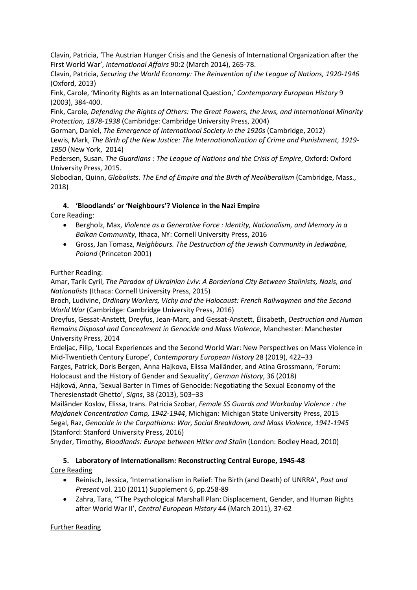Clavin, Patricia, 'The Austrian Hunger Crisis and the Genesis of International Organization after the First World War', *International Affairs* 90:2 (March 2014), 265-78.

Clavin, Patricia, *Securing the World Economy: The Reinvention of the League of Nations, 1920-1946*  (Oxford, 2013)

Fink, Carole, 'Minority Rights as an International Question,' *Contemporary European History* 9 (2003), 384-400.

Fink, Carole*, Defending the Rights of Others: The Great Powers, the Jews, and International Minority Protection, 1878-1938* (Cambridge: Cambridge University Press, 2004)

Gorman, Daniel, *The Emergence of International Society in the 1920s* (Cambridge, 2012) Lewis, Mark, *The Birth of the New Justice: The Internationalization of Crime and Punishment, 1919-*

*1950* (New York, 2014)

Pedersen, Susan. *The Guardians : The League of Nations and the Crisis of Empire*, Oxford: Oxford University Press, 2015.

Slobodian, Quinn, *Globalists. The End of Empire and the Birth of Neoliberalism* (Cambridge, Mass., 2018)

## **4. 'Bloodlands' or 'Neighbours'? Violence in the Nazi Empire**

Core Reading:

- Bergholz, Max, *Violence as a Generative Force : Identity, Nationalism, and Memory in a Balkan Community*, Ithaca, NY: Cornell University Press, 2016
- Gross, Jan Tomasz, *Neighbours. The Destruction of the Jewish Community in Jedwabne, Poland* (Princeton 2001)

## Further Reading:

Amar, Tarik Cyril, *The Paradox of Ukrainian Lviv: A Borderland City Between Stalinists, Nazis, and Nationalists* (Ithaca: Cornell University Press, 2015)

Broch, Ludivine, *Ordinary Workers, Vichy and the Holocaust: French Railwaymen and the Second World War* (Cambridge: Cambridge University Press, 2016)

Dreyfus, Gessat-Anstett, Dreyfus, Jean-Marc, and Gessat-Anstett, Élisabeth, *Destruction and Human Remains Disposal and Concealment in Genocide and Mass Violence*, Manchester: Manchester University Press, 2014

Erdeljac, Filip, 'Local Experiences and the Second World War: New Perspectives on Mass Violence in Mid-Twentieth Century Europe', *Contemporary European History* 28 (2019), 422–33

Farges, Patrick, Doris Bergen, Anna Hajkova, Elissa Mailänder, and Atina Grossmann, 'Forum: Holocaust and the History of Gender and Sexuality', *German History*, 36 (2018)

Hájková, Anna, 'Sexual Barter in Times of Genocide: Negotiating the Sexual Economy of the Theresienstadt Ghetto', *Signs*, 38 (2013), 503–33

Mailänder Koslov, Elissa, trans. Patricia Szobar, *Female SS Guards and Workaday Violence : the Majdanek Concentration Camp, 1942-1944*, Michigan: Michigan State University Press, 2015 Segal, Raz, *Genocide in the Carpathians: War, Social Breakdown, and Mass Violence, 1941-1945*  (Stanford: Stanford University Press, 2016)

Snyder, Timothy*, Bloodlands: Europe between Hitler and Stalin* (London: Bodley Head, 2010)

#### **5. Laboratory of Internationalism: Reconstructing Central Europe, 1945-48** Core Reading

- Reinisch, Jessica, 'Internationalism in Relief: The Birth (and Death) of UNRRA', *Past and Present* vol. 210 (2011) Supplement 6, pp.258-89
- Zahra, Tara, '"The Psychological Marshall Plan: Displacement, Gender, and Human Rights after World War II', *Central European History* 44 (March 2011), 37-62

Further Reading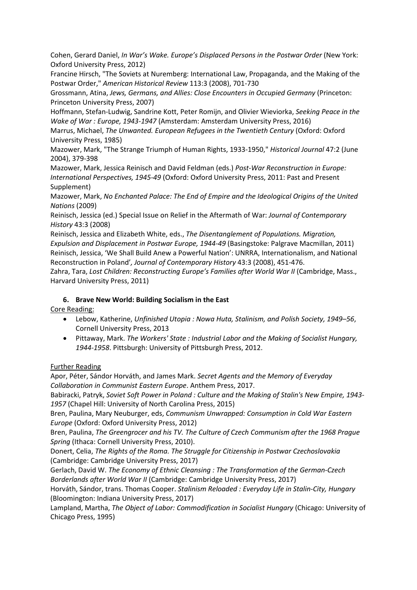Cohen, Gerard Daniel, *In War's Wake. Europe's Displaced Persons in the Postwar Order* (New York: Oxford University Press, 2012)

Francine Hirsch, "The Soviets at Nuremberg: International Law, Propaganda, and the Making of the Postwar Order," *American Historical Review* 113:3 (2008), 701-730

Grossmann, Atina, *Jews, Germans, and Allies: Close Encounters in Occupied Germany* (Princeton: Princeton University Press, 2007)

Hoffmann, Stefan-Ludwig, Sandrine Kott, Peter Romijn, and Olivier Wieviorka, *Seeking Peace in the Wake of War : Europe, 1943-1947* (Amsterdam: Amsterdam University Press, 2016)

Marrus, Michael, *The Unwanted. European Refugees in the Twentieth Century* (Oxford: Oxford University Press, 1985)

Mazower, Mark, "The Strange Triumph of Human Rights, 1933-1950," *Historical Journal* 47:2 (June 2004), 379-398

Mazower, Mark, Jessica Reinisch and David Feldman (eds.) *Post-War Reconstruction in Europe: International Perspectives, 1945-49* (Oxford: Oxford University Press, 2011: Past and Present Supplement)

Mazower, Mark, *No Enchanted Palace: The End of Empire and the Ideological Origins of the United Nations* (2009)

Reinisch, Jessica (ed.) Special Issue on Relief in the Aftermath of War: *Journal of Contemporary History* 43:3 (2008)

Reinisch, Jessica and Elizabeth White, eds., *The Disentanglement of Populations. Migration, Expulsion and Displacement in Postwar Europe, 1944-49* (Basingstoke: Palgrave Macmillan, 2011) Reinisch, Jessica, 'We Shall Build Anew a Powerful Nation': UNRRA, Internationalism, and National Reconstruction in Poland'*, Journal of Contemporary History* 43:3 (2008), 451-476.

Zahra, Tara, Lost Children: Reconstructing Europe's Families after World War II (Cambridge, Mass., Harvard University Press, 2011)

### **6. Brave New World: Building Socialism in the East**

Core Reading:

- Lebow, Katherine, *Unfinished Utopia : Nowa Huta, Stalinism, and Polish Society, 1949–56*, Cornell University Press, 2013
- Pittaway, Mark. *The Workers' State : Industrial Labor and the Making of Socialist Hungary, 1944-1958*. Pittsburgh: University of Pittsburgh Press, 2012.

### Further Reading

Apor, Péter, Sándor Horváth, and James Mark. *Secret Agents and the Memory of Everyday Collaboration in Communist Eastern Europe*. Anthem Press, 2017.

Babiracki, Patryk, *Soviet Soft Power in Poland : Culture and the Making of Stalin's New Empire, 1943- 1957* (Chapel Hill: University of North Carolina Press, 2015)

Bren, Paulina, Mary Neuburger, eds, *Communism Unwrapped: Consumption in Cold War Eastern Europe* (Oxford: Oxford University Press, 2012)

Bren, Paulina, *The Greengrocer and his TV. The Culture of Czech Communism after the 1968 Prague Spring* (Ithaca: Cornell University Press, 2010).

Donert, Celia, *The Rights of the Roma. The Struggle for Citizenship in Postwar Czechoslovakia* (Cambridge: Cambridge University Press, 2017)

Gerlach, David W. *The Economy of Ethnic Cleansing : The Transformation of the German-Czech Borderlands after World War II* (Cambridge: Cambridge University Press, 2017)

Horváth, Sándor, trans. Thomas Cooper. *Stalinism Reloaded : Everyday Life in Stalin-City, Hungary* (Bloomington: Indiana University Press, 2017)

Lampland, Martha, *The Object of Labor: Commodification in Socialist Hungary* (Chicago: University of Chicago Press, 1995)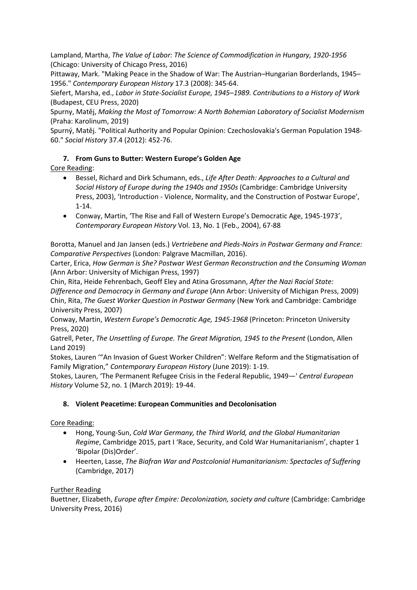Lampland, Martha, *The Value of Labor: The Science of Commodification in Hungary, 1920-1956* (Chicago: University of Chicago Press, 2016)

Pittaway, Mark. "Making Peace in the Shadow of War: The Austrian–Hungarian Borderlands, 1945– 1956." *Contemporary European History* 17.3 (2008): 345-64.

Siefert, Marsha, ed., *Labor in State-Socialist Europe, 1945–1989. Contributions to a History of Work* (Budapest, CEU Press, 2020)

Spurny, Matěj, *Making the Most of Tomorrow: A North Bohemian Laboratory of Socialist Modernism* (Praha: Karolinum, 2019)

Spurný, Matěj. "Political Authority and Popular Opinion: Czechoslovakia's German Population 1948- 60." *Social History* 37.4 (2012): 452-76.

## **7. From Guns to Butter: Western Europe's Golden Age**

Core Reading:

- Bessel, Richard and Dirk Schumann, eds., *Life After Death: Approaches to a Cultural and Social History of Europe during the 1940s and 1950s* (Cambridge: Cambridge University Press, 2003), 'Introduction - Violence, Normality, and the Construction of Postwar Europe', 1-14.
- Conway, Martin, 'The Rise and Fall of Western Europe's Democratic Age, 1945-1973', *Contemporary European History* Vol. 13, No. 1 (Feb., 2004), 67-88

Borotta, Manuel and Jan Jansen (eds.) *Vertriebene and Pieds-Noirs in Postwar Germany and France: Comparative Perspectives* (London: Palgrave Macmillan, 2016).

Carter, Erica, *How German is She? Postwar West German Reconstruction and the Consuming Woman*  (Ann Arbor: University of Michigan Press, 1997)

Chin, Rita, Heide Fehrenbach, Geoff Eley and Atina Grossmann, *After the Nazi Racial State: Difference and Democracy in Germany and Europe* (Ann Arbor: University of Michigan Press, 2009) Chin, Rita, *The Guest Worker Question in Postwar Germany* (New York and Cambridge: Cambridge University Press, 2007)

Conway, Martin, *Western Europe's Democratic Age, 1945-1968* (Princeton: Princeton University Press, 2020)

Gatrell, Peter, *The Unsettling of Europe. The Great Migration, 1945 to the Present* (London, Allen Land 2019)

Stokes, Lauren '"An Invasion of Guest Worker Children": Welfare Reform and the Stigmatisation of Family Migration," *Contemporary European History* (June 2019): 1-19.

Stokes, Lauren, 'The Permanent Refugee Crisis in the Federal Republic, 1949—' *Central European History* Volume 52, no. 1 (March 2019): 19-44.

## **8. Violent Peacetime: European Communities and Decolonisation**

Core Reading:

- Hong, Young-Sun, *Cold War Germany, the Third World, and the Global Humanitarian Regime*, Cambridge 2015, part I 'Race, Security, and Cold War Humanitarianism', chapter 1 'Bipolar (Dis)Order'.
- Heerten, Lasse, *The Biafran War and Postcolonial Humanitarianism: Spectacles of Suffering*  (Cambridge, 2017)

Further Reading

Buettner, Elizabeth, *Europe after Empire: Decolonization, society and culture* (Cambridge: Cambridge University Press, 2016)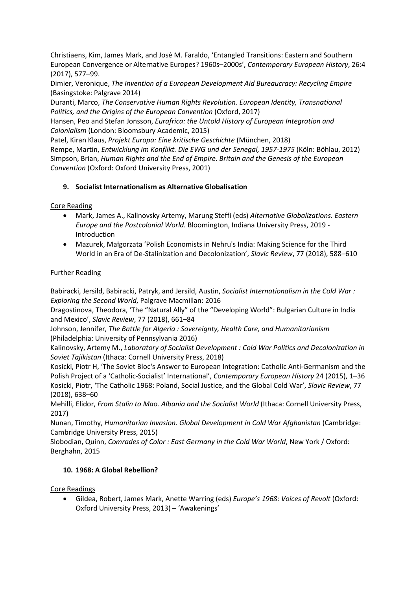Christiaens, Kim, James Mark, and José M. Faraldo, 'Entangled Transitions: Eastern and Southern European Convergence or Alternative Europes? 1960s–2000s', *Contemporary European History*, 26:4 (2017), 577–99.

Dimier, Veronique, *The Invention of a European Development Aid Bureaucracy: Recycling Empire*  (Basingstoke: Palgrave 2014)

Duranti, Marco, *The Conservative Human Rights Revolution. European Identity, Transnational Politics, and the Origins of the European Convention (Oxford, 2017)* 

Hansen, Peo and Stefan Jonsson, *Eurafrica: the Untold History of European Integration and Colonialism* (London: Bloomsbury Academic, 2015)

Patel, Kiran Klaus, *Projekt Europa: Eine kritische Geschichte* (München, 2018) Rempe, Martin, *Entwicklung im Konflikt. Die EWG und der Senegal, 1957-1975* (Köln: Böhlau, 2012) Simpson, Brian, *Human Rights and the End of Empire. Britain and the Genesis of the European Convention* (Oxford: Oxford University Press, 2001)

## **9. Socialist Internationalism as Alternative Globalisation**

Core Reading

- Mark, James A., Kalinovsky Artemy, Marung Steffi (eds) *Alternative Globalizations. Eastern Europe and the Postcolonial World.* Bloomington, Indiana University Press, 2019 - Introduction
- Mazurek, Małgorzata 'Polish Economists in Nehru's India: Making Science for the Third World in an Era of De-Stalinization and Decolonization', *Slavic Review*, 77 (2018), 588–610

## Further Reading

Babiracki, Jersild, Babiracki, Patryk, and Jersild, Austin, *Socialist Internationalism in the Cold War : Exploring the Second World*, Palgrave Macmillan: 2016

Dragostinova, Theodora, 'The "Natural Ally" of the "Developing World": Bulgarian Culture in India and Mexico', *Slavic Review*, 77 (2018), 661–84

Johnson, Jennifer, *The Battle for Algeria : Sovereignty, Health Care, and Humanitarianism* (Philadelphia: University of Pennsylvania 2016)

Kalinovsky, Artemy M., *Laboratory of Socialist Development : Cold War Politics and Decolonization in Soviet Tajikistan* (Ithaca: Cornell University Press, 2018)

Kosicki, Piotr H, 'The Soviet Bloc's Answer to European Integration: Catholic Anti-Germanism and the Polish Project of a 'Catholic-Socialist' International', *Contemporary European History* 24 (2015), 1–36 Kosicki, Piotr, 'The Catholic 1968: Poland, Social Justice, and the Global Cold War', *Slavic Review*, 77 (2018), 638–60

Mehilli, Elidor, *From Stalin to Mao. Albania and the Socialist World* (Ithaca: Cornell University Press, 2017)

Nunan, Timothy, *Humanitarian Invasion. Global Development in Cold War Afghanistan* (Cambridge: Cambridge University Press, 2015)

Slobodian, Quinn, *Comrades of Color : East Germany in the Cold War World*, New York / Oxford: Berghahn, 2015

## **10. 1968: A Global Rebellion?**

Core Readings

• Gildea, Robert, James Mark, Anette Warring (eds) *Europe's 1968: Voices of Revolt* (Oxford: Oxford University Press, 2013) – 'Awakenings'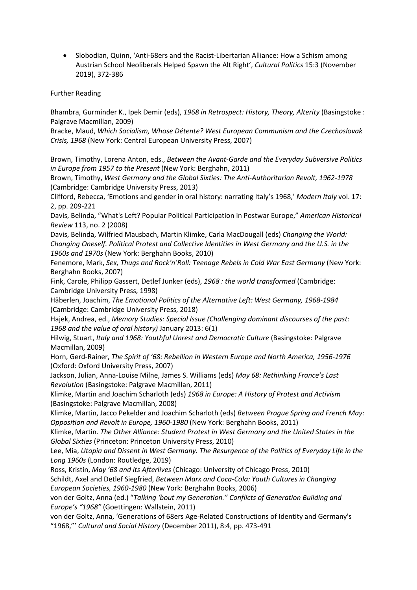• Slobodian, Quinn, 'Anti-68ers and the Racist-Libertarian Alliance: How a Schism among Austrian School Neoliberals Helped Spawn the Alt Right', *Cultural Politics* 15:3 (November 2019), 372-386

#### Further Reading

Bhambra, Gurminder K., Ipek Demir (eds), *1968 in Retrospect: History, Theory, Alterity* (Basingstoke : Palgrave Macmillan, 2009)

Bracke, Maud, *Which Socialism, Whose Détente? West European Communism and the Czechoslovak Crisis, 1968* (New York: Central European University Press, 2007)

Brown, Timothy, Lorena Anton, eds., *Between the Avant-Garde and the Everyday Subversive Politics in Europe from 1957 to the Present* (New York: Berghahn, 2011)

Brown, Timothy, *West Germany and the Global Sixties: The Anti-Authoritarian Revolt, 1962-1978*  (Cambridge: Cambridge University Press, 2013)

Clifford, Rebecca, 'Emotions and gender in oral history: narrating Italy's 1968,' *Modern Italy* vol. 17: 2, pp. 209-221

Davis, Belinda, "What's Left? Popular Political Participation in Postwar Europe," *American Historical Review* 113, no. 2 (2008)

Davis, Belinda, Wilfried Mausbach, Martin Klimke, Carla MacDougall (eds) *Changing the World: Changing Oneself. Political Protest and Collective Identities in West Germany and the U.S. in the 1960s and 1970s* (New York: Berghahn Books, 2010)

Fenemore, Mark, *Sex, Thugs and Rock'n'Roll: Teenage Rebels in Cold War East Germany* (New York: Berghahn Books, 2007)

Fink, Carole, Philipp Gassert, Detlef Junker (eds), *1968 : the world transformed* (Cambridge: Cambridge University Press, 1998)

Häberlen, Joachim, *The Emotional Politics of the Alternative Left: West Germany, 1968-1984*  (Cambridge: Cambridge University Press, 2018)

Hajek, Andrea, ed., *Memory Studies: Special Issue (Challenging dominant discourses of the past: 1968 and the value of oral history)* January 2013: 6(1)

Hilwig, Stuart, *Italy and 1968: Youthful Unrest and Democratic Culture* (Basingstoke: Palgrave Macmillan, 2009)

Horn, Gerd-Rainer, *The Spirit of '68: Rebellion in Western Europe and North America, 1956-1976* (Oxford: Oxford University Press, 2007)

Jackson, Julian, Anna-Louise Milne, James S. Williams (eds) *May 68: Rethinking France's Last Revolution* (Basingstoke: Palgrave Macmillan, 2011)

Klimke, Martin and Joachim Scharloth (eds) *1968 in Europe: A History of Protest and Activism*  (Basingstoke: Palgrave Macmillan, 2008)

Klimke, Martin, Jacco Pekelder and Joachim Scharloth (eds) *Between Prague Spring and French May: Opposition and Revolt in Europe, 1960-1980* (New York: Berghahn Books, 2011)

Klimke, Martin. *The Other Alliance: Student Protest in West Germany and the United States in the Global Sixties* (Princeton: Princeton University Press, 2010)

Lee, Mia, *Utopia and Dissent in West Germany. The Resurgence of the Politics of Everyday Life in the Long 1960s* (London: Routledge, 2019)

Ross, Kristin, *May '68 and its Afterlives* (Chicago: University of Chicago Press, 2010) Schildt, Axel and Detlef Siegfried, *Between Marx and Coca-Cola: Youth Cultures in Changing European Societies, 1960-1980* (New York: Berghahn Books, 2006)

von der Goltz, Anna (ed.) "*Talking 'bout my Generation." Conflicts of Generation Building and Europe's "1968"* (Goettingen: Wallstein, 2011)

von der Goltz, Anna, 'Generations of 68ers Age-Related Constructions of Identity and Germany's "1968,"' *Cultural and Social History* (December 2011), 8:4, pp. 473-491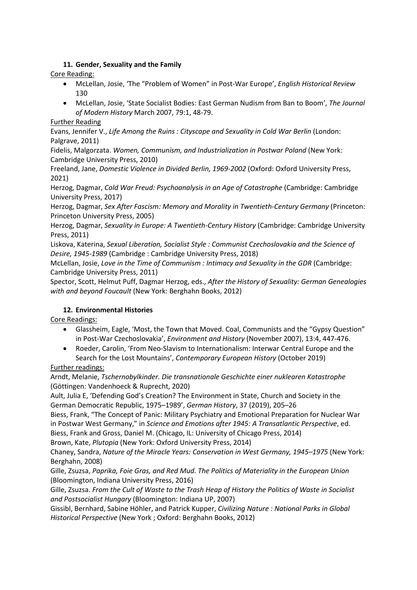## **11. Gender, Sexuality and the Family**

Core Reading:

- McLellan, Josie, 'The "Problem of Women" in Post-War Europe', *English Historical Review*  130
- McLellan, Josie, 'State Socialist Bodies: East German Nudism from Ban to Boom', *The Journal of Modern History* March 2007, 79:1, 48-79.

### Further Reading

Evans, Jennifer V., *Life Among the Ruins : Cityscape and Sexuality in Cold War Berlin* (London: Palgrave, 2011)

Fidelis, Malgorzata. *Women, Communism, and Industrialization in Postwar Poland* (New York: Cambridge University Press, 2010)

Freeland, Jane, *Domestic Violence in Divided Berlin, 1969-2002* (Oxford: Oxford University Press, 2021)

Herzog, Dagmar, *Cold War Freud: Psychoanalysis in an Age of Catastrophe* (Cambridge: Cambridge University Press, 2017)

Herzog, Dagmar, *Sex After Fascism: Memory and Morality in Twentieth-Century Germany* (Princeton: Princeton University Press, 2005)

Herzog, Dagmar, *Sexuality in Europe: A Twentieth-Century History* (Cambridge: Cambridge University Press, 2011)

Liskova, Katerina, *Sexual Liberation, Socialist Style : Communist Czechoslovakia and the Science of Desire, 1945-1989* (Cambridge : Cambridge University Press, 2018)

McLellan, Josie, *Love in the Time of Communism : Intimacy and Sexuality in the GDR* (Cambridge: Cambridge University Press, 2011)

Spector, Scott, Helmut Puff, Dagmar Herzog, eds., *After the History of Sexuality: German Genealogies with and beyond Foucault* (New York: Berghahn Books, 2012)

### **12. Environmental Histories**

Core Readings:

- Glassheim, Eagle, 'Most, the Town that Moved. Coal, Communists and the "Gypsy Question" in Post-War Czechoslovakia', *Environment and History* (November 2007), 13:4, 447-476.
- Roeder, Carolin, 'From Neo-Slavism to Internationalism: Interwar Central Europe and the Search for the Lost Mountains', *Contemporary European History* (October 2019)

Further readings:

Arndt, Melanie, *Tschernobylkinder. Die transnationale Geschichte einer nuklearen Katastrophe* (Göttingen: Vandenhoeck & Ruprecht, 2020)

Ault, Julia E, 'Defending God's Creation? The Environment in State, Church and Society in the German Democratic Republic, 1975–1989', *German History*, 37 (2019), 205–26

Biess, Frank, "The Concept of Panic: Military Psychiatry and Emotional Preparation for Nuclear War in Postwar West Germany," in *Science and Emotions after 1945: A Transatlantic Perspective*, ed. Biess, Frank and Gross, Daniel M. (Chicago, IL: University of Chicago Press, 2014)

Brown, Kate, *Plutopia* (New York: Oxford University Press, 2014)

Chaney, Sandra, *Nature of the Miracle Years: Conservation in West Germany, 1945–1975* (New York: Berghahn, 2008)

Gille, Zsuzsa, *Paprika, Foie Gras, and Red Mud. The Politics of Materiality in the European Union* (Bloomington, Indiana University Press, 2016)

Gille, Zsuzsa. *From the Cult of Waste to the Trash Heap of History the Politics of Waste in Socialist and Postsocialist Hungary* (Bloomington: Indiana UP, 2007)

Gissibl, Bernhard, Sabine Höhler, and Patrick Kupper, *Civilizing Nature : National Parks in Global Historical Perspective* (New York ; Oxford: Berghahn Books, 2012)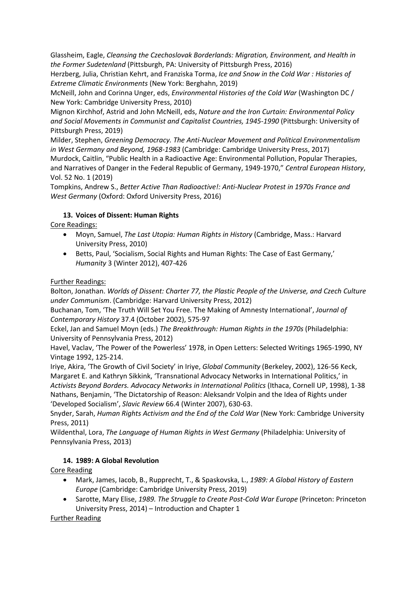Glassheim, Eagle, *Cleansing the Czechoslovak Borderlands: Migration, Environment, and Health in the Former Sudetenland* (Pittsburgh, PA: University of Pittsburgh Press, 2016)

Herzberg, Julia, Christian Kehrt, and Franziska Torma, *Ice and Snow in the Cold War : Histories of Extreme Climatic Environments* (New York: Berghahn, 2019)

McNeill, John and Corinna Unger, eds, *Environmental Histories of the Cold War* (Washington DC / New York: Cambridge University Press, 2010)

Mignon Kirchhof, Astrid and John McNeill, eds, *Nature and the Iron Curtain: Environmental Policy and Social Movements in Communist and Capitalist Countries, 1945-1990* (Pittsburgh: University of Pittsburgh Press, 2019)

Milder, Stephen, *Greening Democracy. The Anti-Nuclear Movement and Political Environmentalism in West Germany and Beyond, 1968-1983* (Cambridge: Cambridge University Press, 2017) Murdock, Caitlin, "Public Health in a Radioactive Age: Environmental Pollution, Popular Therapies, and Narratives of Danger in the Federal Republic of Germany, 1949-1970," *Central European History*, Vol. 52 No. 1 (2019)

Tompkins, Andrew S., *Better Active Than Radioactive!: Anti-Nuclear Protest in 1970s France and West Germany* (Oxford: Oxford University Press, 2016)

## **13. Voices of Dissent: Human Rights**

Core Readings:

- Moyn, Samuel, *The Last Utopia: Human Rights in History* (Cambridge, Mass.: Harvard University Press, 2010)
- Betts, Paul, 'Socialism, Social Rights and Human Rights: The Case of East Germany,' *Humanity* 3 (Winter 2012), 407-426

## Further Readings:

Bolton, Jonathan. *Worlds of Dissent: Charter 77, the Plastic People of the Universe, and Czech Culture under Communism*. (Cambridge: Harvard University Press, 2012)

Buchanan, Tom, 'The Truth Will Set You Free. The Making of Amnesty International', *Journal of Contemporary History* 37.4 (October 2002), 575-97

Eckel, Jan and Samuel Moyn (eds.) *The Breakthrough: Human Rights in the 1970s* (Philadelphia: University of Pennsylvania Press, 2012)

Havel, Vaclav, 'The Power of the Powerless' 1978, in Open Letters: Selected Writings 1965-1990, NY Vintage 1992, 125-214.

Iriye, Akira, 'The Growth of Civil Society' in Iriye, *Global Community* (Berkeley, 2002), 126-56 Keck, Margaret E. and Kathryn Sikkink, 'Transnational Advocacy Networks in International Politics,' in *Activists Beyond Borders. Advocacy Networks in International Politics* (Ithaca, Cornell UP, 1998), 1-38 Nathans, Benjamin, 'The Dictatorship of Reason: Aleksandr Volpin and the Idea of Rights under 'Developed Socialism', *Slavic Review* 66.4 (Winter 2007), 630-63.

Snyder, Sarah, *Human Rights Activism and the End of the Cold War* (New York: Cambridge University Press, 2011)

Wildenthal, Lora, *The Language of Human Rights in West Germany* (Philadelphia: University of Pennsylvania Press, 2013)

## **14. 1989: A Global Revolution**

Core Reading

- Mark, James, Iacob, B., Rupprecht, T., & Spaskovska, L., *1989: A Global History of Eastern Europe* (Cambridge: Cambridge University Press, 2019)
- Sarotte, Mary Elise, *1989. The Struggle to Create Post-Cold War Europe* (Princeton: Princeton University Press, 2014) – Introduction and Chapter 1

Further Reading